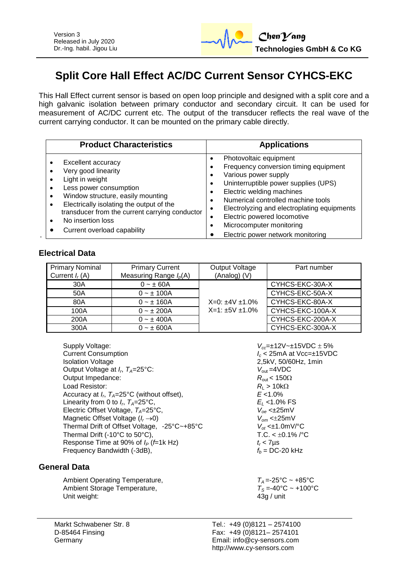

# **Split Core Hall Effect AC/DC Current Sensor CYHCS-EKC**

This Hall Effect current sensor is based on open loop principle and designed with a split core and a high galvanic isolation between primary conductor and secondary circuit. It can be used for measurement of AC/DC current etc. The output of the transducer reflects the real wave of the current carrying conductor. It can be mounted on the primary cable directly.

| <b>Product Characteristics</b>                                                                                                                                                                                                                                                                          | <b>Applications</b>                                                                                                                                                                                                                                                                                                                                         |  |
|---------------------------------------------------------------------------------------------------------------------------------------------------------------------------------------------------------------------------------------------------------------------------------------------------------|-------------------------------------------------------------------------------------------------------------------------------------------------------------------------------------------------------------------------------------------------------------------------------------------------------------------------------------------------------------|--|
| Excellent accuracy<br>Very good linearity<br>Light in weight<br>Less power consumption<br>Window structure, easily mounting<br>$\bullet$<br>Electrically isolating the output of the<br>$\bullet$<br>transducer from the current carrying conductor<br>No insertion loss<br>Current overload capability | Photovoltaic equipment<br>٠<br>Frequency conversion timing equipment<br>Various power supply<br>Uninterruptible power supplies (UPS)<br>٠<br>Electric welding machines<br>Numerical controlled machine tools<br>Electrolyzing and electroplating equipments<br>Electric powered locomotive<br>Microcomputer monitoring<br>Electric power network monitoring |  |

## **Electrical Data**

| <b>Primary Nominal</b><br>Current $I_r(A)$ | <b>Primary Current</b><br>Measuring Range $I_p(A)$ | Output Voltage<br>(Analog) (V)            | Part number      |
|--------------------------------------------|----------------------------------------------------|-------------------------------------------|------------------|
| 30A                                        | $0 - \pm 60A$                                      | $X=0: \pm 4V \pm 1.0\%$<br>$X=1:±5V±1.0%$ | CYHCS-EKC-30A-X  |
| 50A                                        | $0 - \pm 100A$                                     |                                           | CYHCS-EKC-50A-X  |
| 80A                                        | $0 - \pm 160A$                                     |                                           | CYHCS-EKC-80A-X  |
| 100A                                       | $0 - \pm 200A$                                     |                                           | CYHCS-EKC-100A-X |
| 200A                                       | $0 - \pm 400A$                                     |                                           | CYHCS-EKC-200A-X |
| 300A                                       | $0 - \pm 600A$                                     |                                           | CYHCS-EKC-300A-X |

Supply Voltage:<br>Current Consumption<br>*I<sub>c</sub>*< 25mA at Vcc=±15VD Isolation Voltage 2,5kV, 50/60Hz, 1min Output Voltage at  $I_r$ ,  $T_A=25^{\circ}$ C: Output Impedance:  $R_{\text{out}} < 150\Omega$ <br>
Load Resistor:  $R_1 > 10k\Omega$ Load Resistor:  $R_L > 10k$ <br>Accuracy at  $I_n$   $T_a = 25^{\circ}C$  (without offset).  $R_L > 10\%$ Accuracy at *I<sup>r</sup>* , *TA*=25°C (without offset), *E* <1.0% Linearity from 0 to  $I_r$ ,  $T_A = 25$ °C, Electric Offset Voltage, *T<sub>A</sub>*=25°C, *V*<sub>oe</sub> <±25mV<br>Magnetic Offset Voltage (*I<sub>r</sub>*→0) *V*<sub>om</sub> <±25mV Magnetic Offset Voltage (*I<sub>r</sub>*  $\rightarrow$  0) <br>Thermal Drift of Offset Voltage, -25°C~+85°C <br>*V<sub>ot</sub>* <±1.0mV/°C Thermal Drift of Offset Voltage, -25°C~+85°C *V*<sub>ot</sub> <±1.0mV/°C<br>Thermal Drift (-10°C to 50°C), T.C. < ±0.1% /°C Thermal Drift (-10 $^{\circ}$ C to 50 $^{\circ}$ C), Response Time at 90% of  $I_P$  (*f*=1k Hz)  $t_r$  < 7µs<br>Frequency Bandwidth (-3dB),  $f_b = DC-20$  kHz Frequency Bandwidth (-3dB),

### **General Data**

Ambient Operating Temperature,  $T_A = -25^{\circ}\text{C} \sim +85^{\circ}\text{C}$ <br>Ambient Storage Temperature,  $T_S = -40^{\circ}\text{C} \sim +100^{\circ}\text{C}$ Ambient Storage Temperature, *T<sub>S</sub>* =-40°C<br>Unit weight: 430 / unit Unit weight:

Current Consumption *I<sup>c</sup>* < 25mA at Vcc=±15VDC  $V_{\text{out}} = 4 \text{VDC}$  $E_L$  <1.0% FS<br>  $V_{oe}$  <±25mV